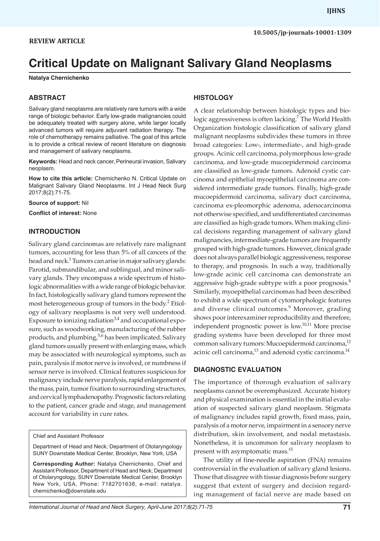# **Critical Update on Malignant Salivary Gland Neoplasms**

**Natalya Chernichenko**

## **ABSTRACT**

Salivary gland neoplasms are relatively rare tumors with a wide range of biologic behavior. Early low-grade malignancies could be adequately treated with surgery alone, while larger locally advanced tumors will require adjuvant radiation therapy. The role of chemotherapy remains palliative. The goal of this article is to provide a critical review of recent literature on diagnosis and management of salivary neoplasms.

**Keywords:** Head and neck cancer, Perineural invasion, Salivary neoplasm.

**How to cite this article:** Chernichenko N. Critical Update on Malignant Salivary Gland Neoplasms. Int J Head Neck Surg 2017;8(2):71-75.

**Source of support:** Nil

**Conflict of interest:** None

## **INTRODUCTION**

Salivary gland carcinomas are relatively rare malignant tumors, accounting for less than 5% of all cancers of the head and neck.<sup>1</sup> Tumors can arise in major salivary glands: Parotid, submandibular, and sublingual, and minor salivary glands. They encompass a wide spectrum of histologic abnormalities with a wide range of biologic behavior. In fact, histologically salivary gland tumors represent the most heterogeneous group of tumors in the body.<sup>2</sup> Etiology of salivary neoplasms is not very well understood. Exposure to ionizing radiation<sup>3,4</sup> and occupational exposure, such as woodworking, manufacturing of the rubber products, and plumbing,  $5.6$  has been implicated. Salivary gland tumors usually present with enlarging mass, which may be associated with neurological symptoms, such as pain, paralysis if motor nerve is involved, or numbness if sensor nerve is involved. Clinical features suspicious for malignancy include nerve paralysis, rapid enlargement of the mass, pain, tumor fixation to surrounding structures, and cervical lymphadenopathy. Prognostic factors relating to the patient, cancer grade and stage, and management account for variability in cure rates.

Chief and Assistant Professor

Department of Head and Neck; Department of Otolaryngology SUNY Downstate Medical Center, Brooklyn, New York, USA

**Corresponding Author:** Natalya Chernichenko, Chief and Assistant Professor, Department of Head and Neck; Department of Otolaryngology, SUNY Downstate Medical Center, Brooklyn New York, USA, Phone: 7182701638, e-mail: natalya. chernichenko@downstate.edu

## **HISTOLOGY**

A clear relationship between histologic types and biologic aggressiveness is often lacking.<sup>7</sup> The World Health Organization histologic classification of salivary gland malignant neoplasms subdivides these tumors in three broad categories: Low-, intermediate-, and high-grade groups. Acinic cell carcinoma, polymorphous low-grade carcinoma, and low-grade mucoepidermoid carcinoma are classified as low-grade tumors. Adenoid cystic carcinoma and epithelial myoepithelial carcinoma are considered intermediate grade tumors. Finally, high-grade mucoepidermoid carcinoma, salivary duct carcinoma, carcinoma ex-pleomorphic adenoma, adenocarcinoma not otherwise specified, and undifferentiated carcinomas are classified as high-grade tumors. When making clinical decisions regarding management of salivary gland malignancies, intermediate-grade tumors are frequently grouped with high-grade tumors. However, clinical grade does not always parallel biologic aggressiveness, response to therapy, and prognosis. In such a way, traditionally low-grade acinic cell carcinoma can demonstrate an aggressive high-grade subtype with a poor prognosis.<sup>8</sup> Similarly, myoepithelial carcinomas had been described to exhibit a wide spectrum of cytomorphologic features and diverse clinical outcomes.<sup>9</sup> Moreover, grading shows poor interexaminer reproducibility and therefore, independent prognostic power is low.<sup>10,11</sup> More precise grading systems have been developed for three most common salivary tumors: Mucoepidermoid carcinoma,<sup>12</sup> acinic cell carcinoma,<sup>13</sup> and adenoid cystic carcinoma.<sup>14</sup>

## **DIAGNOSTIC EVALUATION**

The importance of thorough evaluation of salivary neoplasms cannot be overemphasized. Accurate history and physical examination is essential in the initial evaluation of suspected salivary gland neoplasm. Stigmata of malignancy includes rapid growth, fixed mass, pain, paralysis of a motor nerve, impairment in a sensory nerve distribution, skin involvement, and nodal metastasis. Nonetheless, it is uncommon for salivary neoplasm to present with asymptomatic mass.<sup>15</sup>

The utility of fine-needle aspiration (FNA) remains controversial in the evaluation of salivary gland lesions. Those that disagree with tissue diagnosis before surgery suggest that extent of surgery and decision regarding management of facial nerve are made based on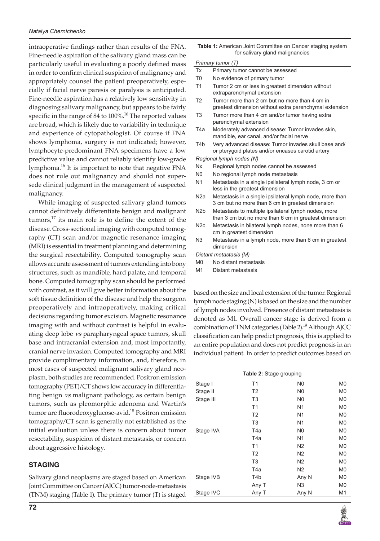intraoperative findings rather than results of the FNA. Fine-needle aspiration of the salivary gland mass can be particularly useful in evaluating a poorly defined mass in order to confirm clinical suspicion of malignancy and appropriately counsel the patient preoperatively, especially if facial nerve paresis or paralysis is anticipated. Fine-needle aspiration has a relatively low sensitivity in diagnosing salivary malignancy, but appears to be fairly specific in the range of 84 to 100%.<sup>16</sup> The reported values are broad, which is likely due to variability in technique and experience of cytopathologist. Of course if FNA shows lymphoma, surgery is not indicated; however, lymphocyte-predominant FNA specimens have a low predictive value and cannot reliably identify low-grade lymphoma.<sup>16</sup> It is important to note that negative FNA does not rule out malignancy and should not supersede clinical judgment in the management of suspected malignancy.

While imaging of suspected salivary gland tumors cannot definitively differentiate benign and malignant tumors, $^{17}$  its main role is to define the extent of the disease. Cross-sectional imaging with computed tomography (CT) scan and/or magnetic resonance imaging (MRI) is essential in treatment planning and determining the surgical resectability. Computed tomography scan allows accurate assessment of tumors extending into bony structures, such as mandible, hard palate, and temporal bone. Computed tomography scan should be performed with contrast, as it will give better information about the soft tissue definition of the disease and help the surgeon preoperatively and intraoperatively, making critical decisions regarding tumor excision. Magnetic resonance imaging with and without contrast is helpful in evaluating deep lobe *vs* parapharyngeal space tumors, skull base and intracranial extension and, most importantly, cranial nerve invasion. Computed tomography and MRI provide complimentary information, and, therefore, in most cases of suspected malignant salivary gland neoplasm, both studies are recommended. Positron emission tomography (PET)/CT shows low accuracy in differentiating benign *vs* malignant pathology, as certain benign tumors, such as pleomorphic adenoma and Wartin's tumor are fluorodeoxyglucose-avid.<sup>18</sup> Positron emission tomography/CT scan is generally not established as the initial evaluation unless there is concern about tumor resectability, suspicion of distant metastasis, or concern about aggressive histology.

## **STAGING**

Salivary gland neoplasms are staged based on American Joint Committee on Cancer (AJCC) tumor-node-metastasis (TNM) staging (Table 1). The primary tumor (T) is staged

| <b>Table 1:</b> American Joint Committee on Cancer staging system |
|-------------------------------------------------------------------|
| for salivary gland malignancies                                   |

#### *Primary tumor (T)*

- Tx Primary tumor cannot be assessed
- T0 No evidence of primary tumor
- T1 Tumor 2 cm or less in greatest dimension without extraparenchymal extension
- T2 Tumor more than 2 cm but no more than 4 cm in greatest dimension without extra parenchymal extension
- T3 Tumor more than 4 cm and/or tumor having extra parenchymal extension
- T4a Moderately advanced disease: Tumor invades skin, mandible, ear canal, and/or facial nerve
- T4b Very advanced disease: Tumor invades skull base and/ or pterygoid plates and/or encases carotid artery

*Regional lymph nodes (N)*

- Nx Regional lymph nodes cannot be assessed
- N0 No regional lymph node metastasis
- N1 Metastasis in a single ipsilateral lymph node, 3 cm or less in the greatest dimension
- N2a Metastasis in a single ipsilateral lymph node, more than 3 cm but no more than 6 cm in greatest dimension
- N2b Metastasis to multiple ipsilateral lymph nodes, more than 3 cm but no more than 6 cm in greatest dimension
- N2c Metastasis in bilateral lymph nodes, none more than 6 cm in greatest dimension
- N3 Metastasis in a lymph node, more than 6 cm in greatest dimension

*Distant metastasis (M)*

- M0 No distant metastasis
- M1 Distant metastasis

based on the size and local extension of the tumor. Regional lymph node staging (N) is based on the size and the number of lymph nodes involved. Presence of distant metastasis is denoted as M1. Overall cancer stage is derived from a combination of TNM categories (Table 2).<sup>19</sup> Although AJCC classification can help predict prognosis, this is applied to an entire population and does not predict prognosis in an individual patient. In order to predict outcomes based on

| <b>Table 2: Stage grouping</b> |                  |                |                |
|--------------------------------|------------------|----------------|----------------|
| Stage I                        | T <sub>1</sub>   | N <sub>0</sub> | M <sub>0</sub> |
| Stage II                       | T <sub>2</sub>   | N <sub>0</sub> | M <sub>0</sub> |
| Stage III                      | T <sub>3</sub>   | N0             | M0             |
|                                | T1               | N <sub>1</sub> | M <sub>0</sub> |
|                                | T <sub>2</sub>   | N <sub>1</sub> | M <sub>0</sub> |
|                                | T <sub>3</sub>   | N <sub>1</sub> | M <sub>0</sub> |
| Stage IVA                      | T4a              | N <sub>0</sub> | M <sub>0</sub> |
|                                | T4a              | N1             | M <sub>0</sub> |
|                                | T1               | N <sub>2</sub> | M <sub>0</sub> |
|                                | T <sub>2</sub>   | N <sub>2</sub> | M <sub>0</sub> |
|                                | T <sub>3</sub>   | N <sub>2</sub> | M <sub>0</sub> |
|                                | T4a              | N <sub>2</sub> | M0             |
| Stage IVB                      | T <sub>4</sub> b | Any N          | M <sub>0</sub> |
|                                | Any T            | N <sub>3</sub> | M <sub>0</sub> |
| Stage IVC                      | Any T            | Any N          | M1             |

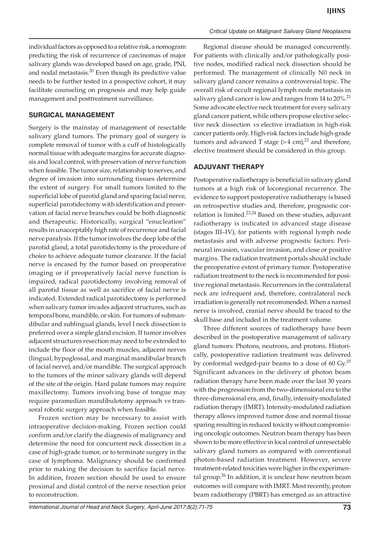individual factors as opposed to a relative risk, a nomogram predicting the risk of recurrence of carcinomas of major salivary glands was developed based on age, grade, PNI, and nodal metastasis.<sup>20</sup> Even though its predictive value needs to be further tested in a prospective cohort, it may facilitate counseling on prognosis and may help guide management and posttreatment surveillance.

## **SURGICAL MANAGEMENT**

Surgery is the mainstay of management of resectable salivary gland tumors. The primary goal of surgery is complete removal of tumor with a cuff of histologically normal tissue with adequate margins for accurate diagnosis and local control, with preservation of nerve function when feasible. The tumor size, relationship to nerves, and degree of invasion into surrounding tissues determine the extent of surgery. For small tumors limited to the superficial lobe of parotid gland and sparing facial nerve, superficial parotidectomy with identification and preservation of facial nerve branches could be both diagnostic and therapeutic. Historically, surgical "enucleation" results in unacceptably high rate of recurrence and facial nerve paralysis. If the tumor involves the deep lobe of the parotid gland, a total parotidectomy is the procedure of choice to achieve adequate tumor clearance. If the facial nerve is encased by the tumor based on preoperative imaging or if preoperatively facial nerve function is impaired, radical parotidectomy involving removal of all parotid tissue as well as sacrifice of facial nerve is indicated. Extended radical parotidectomy is performed when salivary tumor invades adjacent structures, such as temporal bone, mandible, or skin. For tumors of submandibular and sublingual glands, level I neck dissection is preferred over a simple gland excision. If tumor involves adjacent structures resection may need to be extended to include the floor of the mouth muscles, adjacent nerves (lingual, hypoglossal, and marginal mandibular branch of facial nerve), and/or mandible. The surgical approach to the tumors of the minor salivary glands will depend of the site of the origin. Hard palate tumors may require maxillectomy. Tumors involving base of tongue may require paramedian mandibulotomy approach *vs* transoral robotic surgery approach when feasible.

Frozen section may be necessary to assist with intraoperative decision-making. Frozen section could confirm and/or clarify the diagnosis of malignancy and determine the need for concurrent neck dissection in a case of high-grade tumor, or to terminate surgery in the case of lymphoma. Malignancy should be confirmed prior to making the decision to sacrifice facial nerve. In addition, frozen section should be used to ensure proximal and distal control of the nerve resection prior to reconstruction.

Regional disease should be managed concurrently. For patients with clinically and/or pathologically positive nodes, modified radical neck dissection should be performed. The management of clinically N0 neck in salivary gland cancer remains a controversial topic. The overall risk of occult regional lymph node metastasis in salivary gland cancer is low and ranges from  $14$  to  $20\%$ .<sup>21</sup> Some advocate elective neck treatment for every salivary gland cancer patient, while others propose elective selective neck dissection *vs* elective irradiation in high-risk cancer patients only. High-risk factors include high-grade tumors and advanced T stage  $(>4 \text{ cm})^{22}$  and therefore, elective treatment should be considered in this group.

### **ADJUVANT THERAPY**

Postoperative radiotherapy is beneficial in salivary gland tumors at a high risk of locoregional recurrence. The evidence to support postoperative radiotherapy is based on retrospective studies and, therefore, prognostic correlation is limited.<sup>23,24</sup> Based on these studies, adjuvant radiotherapy is indicated in advanced stage disease (stages III–IV), for patients with regional lymph node metastasis and with adverse prognostic factors: Perineural invasion, vascular invasion, and close or positive margins. The radiation treatment portals should include the preoperative extent of primary tumor. Postoperative radiation treatment to the neck is recommended for positive regional metastasis. Recurrences in the contralateral neck are infrequent and, therefore, contralateral neck irradiation is generally not recommended. When a named nerve is involved, cranial nerve should be traced to the skull base and included in the treatment volume.

Three different sources of radiotherapy have been described in the postoperative management of salivary gland tumors: Photons, neutrons, and protons. Historically, postoperative radiation treatment was delivered by conformal wedged-pair beams to a dose of 60  $Gy$ .<sup>25</sup> Significant advances in the delivery of photon beam radiation therapy have been made over the last 30 years with the progression from the two-dimensional era to the three-dimensional era, and, finally, intensity-modulated radiation therapy (IMRT). Intensity-modulated radiation therapy allows improved tumor dose and normal tissue sparing resulting in reduced toxicity without compromising oncologic outcomes. Neutron beam therapy has been shown to be more effective in local control of unresectable salivary gland tumors as compared with conventional photon-based radiation treatment. However, severe treatment-related toxicities were higher in the experimental group. $26$  In addition, it is unclear how neutron beam outcomes will compare with IMRT. Most recently, proton beam radiotherapy (PBRT) has emerged as an attractive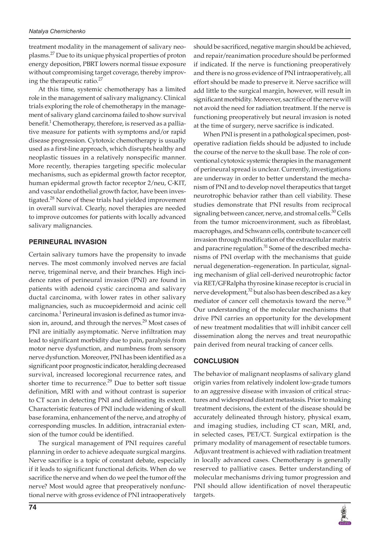treatment modality in the management of salivary neoplasms.27 Due to its unique physical properties of proton energy deposition, PBRT lowers normal tissue exposure without compromising target coverage, thereby improving the therapeutic ratio. $27$ 

At this time, systemic chemotherapy has a limited role in the management of salivary malignancy. Clinical trials exploring the role of chemotherapy in the management of salivary gland carcinoma failed to show survival benefit.<sup>1</sup> Chemotherapy, therefore, is reserved as a palliative measure for patients with symptoms and/or rapid disease progression. Cytotoxic chemotherapy is usually used as a first-line approach, which disrupts healthy and neoplastic tissues in a relatively nonspecific manner. More recently, therapies targeting specific molecular mechanisms, such as epidermal growth factor receptor, human epidermal growth factor receptor 2/neu, C-KIT, and vascular endothelial growth factor, have been investigated.<sup>28</sup> None of these trials had yielded improvement in overall survival. Clearly, novel therapies are needed to improve outcomes for patients with locally advanced salivary malignancies.

## **PERINEURAL INVASION**

Certain salivary tumors have the propensity to invade nerves. The most commonly involved nerves are facial nerve, trigeminal nerve, and their branches. High incidence rates of perineural invasion (PNI) are found in patients with adenoid cystic carcinoma and salivary ductal carcinoma, with lower rates in other salivary malignancies, such as mucoepidermoid and acinic cell carcinoma.<sup>1</sup> Perineural invasion is defined as tumor invasion in, around, and through the nerves. $^{29}$  Most cases of PNI are initially asymptomatic. Nerve infiltration may lead to significant morbidity due to pain, paralysis from motor nerve dysfunction, and numbness from sensory nerve dysfunction. Moreover, PNI has been identified as a significant poor prognostic indicator, heralding decreased survival, increased locoregional recurrence rates, and shorter time to recurrence.<sup>29</sup> Due to better soft tissue definition, MRI with and without contrast is superior to CT scan in detecting PNI and delineating its extent. Characteristic features of PNI include widening of skull base foramina, enhancement of the nerve, and atrophy of corresponding muscles. In addition, intracranial extension of the tumor could be identified.

The surgical management of PNI requires careful planning in order to achieve adequate surgical margins. Nerve sacrifice is a topic of constant debate, especially if it leads to significant functional deficits. When do we sacrifice the nerve and when do we peel the tumor off the nerve? Most would agree that preoperatively nonfunctional nerve with gross evidence of PNI intraoperatively

should be sacrificed, negative margin should be achieved, and repair/reanimation procedure should be performed if indicated. If the nerve is functioning preoperatively and there is no gross evidence of PNI intraoperatively, all effort should be made to preserve it. Nerve sacrifice will add little to the surgical margin, however, will result in significant morbidity. Moreover, sacrifice of the nerve will not avoid the need for radiation treatment. If the nerve is functioning preoperatively but neural invasion is noted at the time of surgery, nerve sacrifice is indicated.

When PNI is present in a pathological specimen, postoperative radiation fields should be adjusted to include the course of the nerve to the skull base. The role of conventional cytotoxic systemic therapies in the management of perineural spread is unclear. Currently, investigations are underway in order to better understand the mechanism of PNI and to develop novel therapeutics that target neurotrophic behavior rather than cell viability. These studies demonstrate that PNI results from reciprocal signaling between cancer, nerve, and stromal cells.<sup>30</sup> Cells from the tumor microenvironment, such as fibroblast, macrophages, and Schwann cells, contribute to cancer cell invasion through modification of the extracellular matrix and paracrine regulation.<sup>31</sup> Some of the described mechanisms of PNI overlap with the mechanisms that guide nerual degeneration–regeneration. In particular, signaling mechanism of glial cell-derived neurotrophic factor via RET/GFRalpha thyrosine kinase receptor is crucial in nerve development,<sup>32</sup> but also has been described as a key mediator of cancer cell chemotaxis toward the nerve.<sup>30</sup> Our understanding of the molecular mechanisms that drive PNI carries an opportunity for the development of new treatment modalities that will inhibit cancer cell dissemination along the nerves and treat neuropathic pain derived from neural tracking of cancer cells.

# **CONCLUSION**

The behavior of malignant neoplasms of salivary gland origin varies from relatively indolent low-grade tumors to an aggressive disease with invasion of critical structures and widespread distant metastasis. Prior to making treatment decisions, the extent of the disease should be accurately delineated through history, physical exam, and imaging studies, including CT scan, MRI, and, in selected cases, PET/CT. Surgical extirpation is the primary modality of management of resectable tumors. Adjuvant treatment is achieved with radiation treatment in locally advanced cases. Chemotherapy is generally reserved to palliative cases. Better understanding of molecular mechanisms driving tumor progression and PNI should allow identification of novel therapeutic targets.